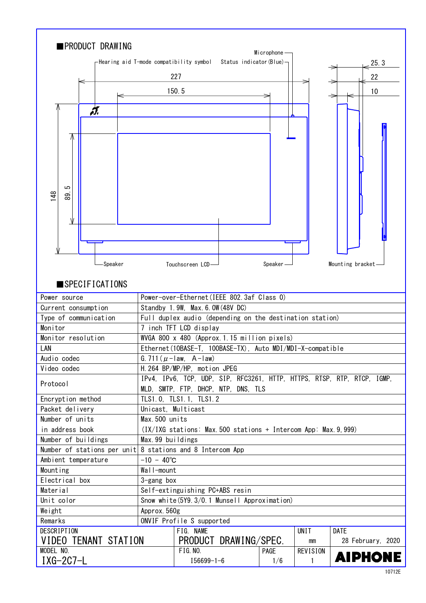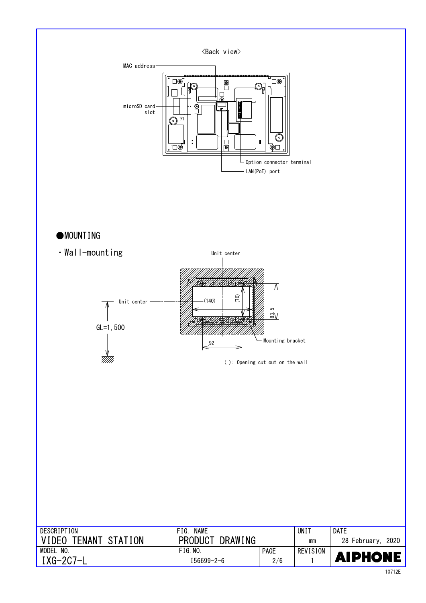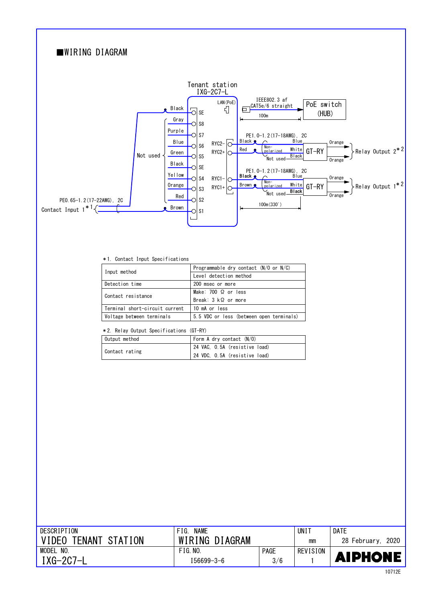

#### \*1. Contact Input Specifications

| Input method                   | Programmable dry contact $(N/O$ or $N/C$ |  |  |  |
|--------------------------------|------------------------------------------|--|--|--|
|                                | Level detection method                   |  |  |  |
| Detection time                 | 200 msec or more                         |  |  |  |
| Contact resistance             | Make: $700 \Omega$ or less               |  |  |  |
|                                | Break: $3 \, k\Omega$ or more            |  |  |  |
| Terminal short-circuit current | 10 mA or less                            |  |  |  |
| Voltage between terminals      | 5.5 VDC or less (between open terminals) |  |  |  |

### \*2. Relay Output Specifications (GT-RY)

| Output method  | Form A dry contact $(N/0)$    |  |  |  |
|----------------|-------------------------------|--|--|--|
| Contact rating | 24 VAC, O.5A (resistive load) |  |  |  |
|                | 24 VDC, O.5A (resistive load) |  |  |  |

| DESCRIPTION              | <b>NAME</b><br>FIG. |             | UNI'     | <b>DATE</b>       |
|--------------------------|---------------------|-------------|----------|-------------------|
| TENANT STATION<br>VIDEO. | WIRING DIAGRAM      |             | mm       | 28 February, 2020 |
| MODEL<br>NO.             | FIG. N0.            | <b>PAGE</b> | REVISION |                   |
| $IXG-2C7-L$              | 156699-3-6          | 3/6         |          | <b>AIPHONE</b>    |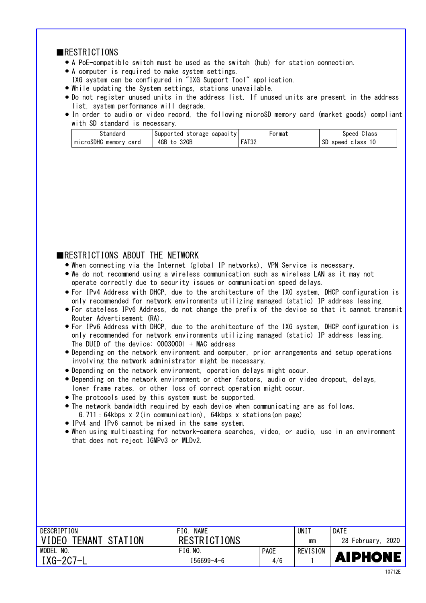### ■RESTRICTIONS

- A PoE-compatible switch must be used as the switch (hub) for station connection. ●
- A computer is required to make system settings. ●
- IXG system can be configured in "IXG Support Tool" application.
- While updating the System settings, stations unavailable. ●
- Do not register unused units in the address list. If unused units are present in the address list, system performance will degrade.
- In order to audio or video record, the following microSD memory card (market goods) compliant with SD standard is necessary.

| standard                    | capacıtv<br>storage<br>Supported | ormat                       | Class<br>Speed             |
|-----------------------------|----------------------------------|-----------------------------|----------------------------|
| microSDHC<br>memory<br>carg | 4GB<br>32GB<br>to                | <b>FAT??</b><br><b>AIJL</b> | SD<br>10<br>speed<br>class |

## ■RESTRICTIONS ABOUT THE NETWORK

- When connecting via the Internet (global IP networks), VPN Service is necessary. ●
- We do not recommend using a wireless communication such as wireless LAN as it may not operate correctly due to security issues or communication speed delays.
- For IPv4 Address with DHCP, due to the architecture of the IXG system, DHCP configuration is only recommended for network environments utilizing managed (static) IP address leasing.
- For stateless IPv6 Address, do not change the prefix of the device so that it cannot transmit Router Advertisement (RA).
- only recommended for network environments utilizing managed (static) IP address leasing. For IPv6 Address with DHCP, due to the architecture of the IXG system, DHCP configuration is ● The DUID of the device: 00030001 + MAC address
- Depending on the network environment and computer, prior arrangements and setup operations involving the network administrator might be necessary.
- Depending on the network environment, operation delays might occur. ●
- lower frame rates, or other loss of correct operation might occur. • Depending on the network environment or other factors, audio or video dropout, delays,
- The protocols used by this system must be supported. ●
- The network bandwidth required by each device when communicating are as follows. G.711:64kbps x 2(in communication), 64kbps x stations(on page)
- IPv4 and IPv6 cannot be mixed in the same system.
- that does not reject IGMPv3 or MLDv2. When using multicasting for network-camera searches, video, or audio, use in an environment ●

| DESCRIPTION          | <b>NAME</b><br>FIG. |             | UNI 1    | <b>DATE</b>       |
|----------------------|---------------------|-------------|----------|-------------------|
| VIDEO TENANT STATION | <b>RESTRICTIONS</b> |             | mm       | 28 February, 2020 |
| MODEL NO.            | FIG. N0.            | <b>PAGE</b> | REVISION |                   |
| $IXG-2C7-L$          | 156699-4-6          | 4/6         |          | <b>AIPHONE</b>    |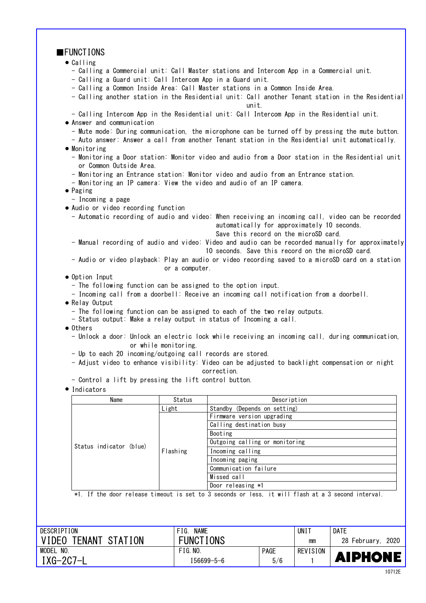| $\blacksquare$ FUNCTIONS                                                      |                      |                                                                                                   |  |  |  |
|-------------------------------------------------------------------------------|----------------------|---------------------------------------------------------------------------------------------------|--|--|--|
| $\bullet$ Calling                                                             |                      |                                                                                                   |  |  |  |
|                                                                               |                      | - Calling a Commercial unit: Call Master stations and Intercom App in a Commercial unit.          |  |  |  |
| - Calling a Guard unit: Call Intercom App in a Guard unit.                    |                      |                                                                                                   |  |  |  |
| - Calling a Common Inside Area: Call Master stations in a Common Inside Area. |                      |                                                                                                   |  |  |  |
|                                                                               |                      | - Calling another station in the Residential unit: Call another Tenant station in the Residential |  |  |  |
|                                                                               |                      | unit.                                                                                             |  |  |  |
|                                                                               |                      | - Calling Intercom App in the Residential unit: Call Intercom App in the Residential unit.        |  |  |  |
| • Answer and communication                                                    |                      |                                                                                                   |  |  |  |
|                                                                               |                      | - Mute mode: During communication, the microphone can be turned off by pressing the mute button.  |  |  |  |
|                                                                               |                      | - Auto answer: Answer a call from another Tenant station in the Residential unit automatically.   |  |  |  |
| $\bullet$ Monitoring                                                          |                      |                                                                                                   |  |  |  |
|                                                                               |                      | - Monitoring a Door station: Monitor video and audio from a Door station in the Residential unit  |  |  |  |
| or Common Outside Area.                                                       |                      |                                                                                                   |  |  |  |
|                                                                               |                      | - Monitoring an Entrance station: Monitor video and audio from an Entrance station.               |  |  |  |
|                                                                               |                      | - Monitoring an IP camera: View the video and audio of an IP camera.                              |  |  |  |
| $\bullet$ Paging                                                              |                      |                                                                                                   |  |  |  |
| - Incoming a page                                                             |                      |                                                                                                   |  |  |  |
| • Audio or video recording function                                           |                      |                                                                                                   |  |  |  |
|                                                                               |                      | - Automatic recording of audio and video: When receiving an incoming call, video can be recorded  |  |  |  |
|                                                                               |                      | automatically for approximately 10 seconds.                                                       |  |  |  |
|                                                                               |                      | Save this record on the microSD card.                                                             |  |  |  |
|                                                                               |                      | - Manual recording of audio and video: Video and audio can be recorded manually for approximately |  |  |  |
|                                                                               |                      | 10 seconds. Save this record on the microSD card.                                                 |  |  |  |
|                                                                               |                      | - Audio or video playback: Play an audio or video recording saved to a microSD card on a station  |  |  |  |
|                                                                               | or a computer.       |                                                                                                   |  |  |  |
| • Option Input                                                                |                      |                                                                                                   |  |  |  |
| - The following function can be assigned to the option input.                 |                      |                                                                                                   |  |  |  |
|                                                                               |                      | - Incoming call from a doorbell: Receive an incoming call notification from a doorbell.           |  |  |  |
| • Relay Output                                                                |                      |                                                                                                   |  |  |  |
|                                                                               |                      | - The following function can be assigned to each of the two relay outputs.                        |  |  |  |
|                                                                               |                      | - Status output: Make a relay output in status of Incoming a call.                                |  |  |  |
| • Others                                                                      |                      |                                                                                                   |  |  |  |
|                                                                               |                      | - Unlock a door: Unlock an electric lock while receiving an incoming call, during communication,  |  |  |  |
|                                                                               | or while monitoring. |                                                                                                   |  |  |  |
| - Up to each 20 incoming/outgoing call records are stored.                    |                      |                                                                                                   |  |  |  |
|                                                                               |                      | - Adjust video to enhance visibility: Video can be adjusted to backlight compensation or night    |  |  |  |
|                                                                               |                      | correction.                                                                                       |  |  |  |
| - Control a lift by pressing the lift control button.                         |                      |                                                                                                   |  |  |  |
|                                                                               |                      |                                                                                                   |  |  |  |
| · Indicators                                                                  |                      |                                                                                                   |  |  |  |
| Name                                                                          | Status               | Description                                                                                       |  |  |  |
|                                                                               | Light                | Standby (Depends on setting)                                                                      |  |  |  |
|                                                                               |                      | Firmware version upgrading                                                                        |  |  |  |
|                                                                               |                      | Calling destination busy                                                                          |  |  |  |

FIG. NAME DESCRIPTION UNIT DATE VIDEO TENANT STATION FUNCTIONS 28 February, 2020 mm MODEL NO.  $FIG. NO.$ PAGE **REVISION AIPHONE** IXG-2C7-L 5/6 I56699-5-6 1

Incoming paging

Missed call Door releasing \*1

\*1. If the door release timeout is set to 3 seconds or less, it will flash at a 3 second interval.

Communication failure

Booting

Outgoing calling or monitoring

Status indicator (blue) |<br>Flashing | Incoming calling

Flashing